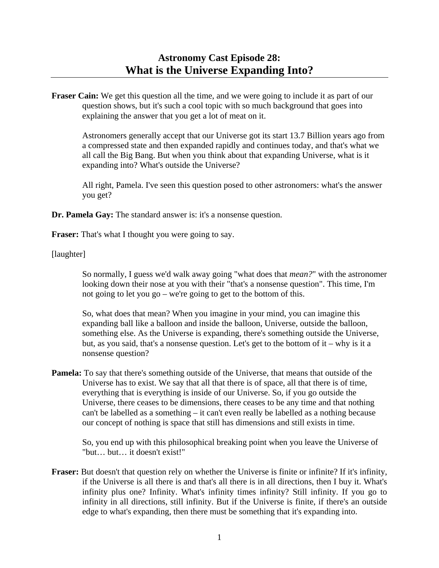**Fraser Cain:** We get this question all the time, and we were going to include it as part of our question shows, but it's such a cool topic with so much background that goes into explaining the answer that you get a lot of meat on it.

 Astronomers generally accept that our Universe got its start 13.7 Billion years ago from a compressed state and then expanded rapidly and continues today, and that's what we all call the Big Bang. But when you think about that expanding Universe, what is it expanding into? What's outside the Universe?

 All right, Pamela. I've seen this question posed to other astronomers: what's the answer you get?

**Dr. Pamela Gay:** The standard answer is: it's a nonsense question.

**Fraser:** That's what I thought you were going to say.

[laughter]

 So normally, I guess we'd walk away going "what does that *mean?*" with the astronomer looking down their nose at you with their "that's a nonsense question". This time, I'm not going to let you go – we're going to get to the bottom of this.

 So, what does that mean? When you imagine in your mind, you can imagine this expanding ball like a balloon and inside the balloon, Universe, outside the balloon, something else. As the Universe is expanding, there's something outside the Universe, but, as you said, that's a nonsense question. Let's get to the bottom of it – why is it a nonsense question?

**Pamela:** To say that there's something outside of the Universe, that means that outside of the Universe has to exist. We say that all that there is of space, all that there is of time, everything that is everything is inside of our Universe. So, if you go outside the Universe, there ceases to be dimensions, there ceases to be any time and that nothing can't be labelled as a something – it can't even really be labelled as a nothing because our concept of nothing is space that still has dimensions and still exists in time.

 So, you end up with this philosophical breaking point when you leave the Universe of "but… but… it doesn't exist!"

**Fraser:** But doesn't that question rely on whether the Universe is finite or infinite? If it's infinity, if the Universe is all there is and that's all there is in all directions, then I buy it. What's infinity plus one? Infinity. What's infinity times infinity? Still infinity. If you go to infinity in all directions, still infinity. But if the Universe is finite, if there's an outside edge to what's expanding, then there must be something that it's expanding into.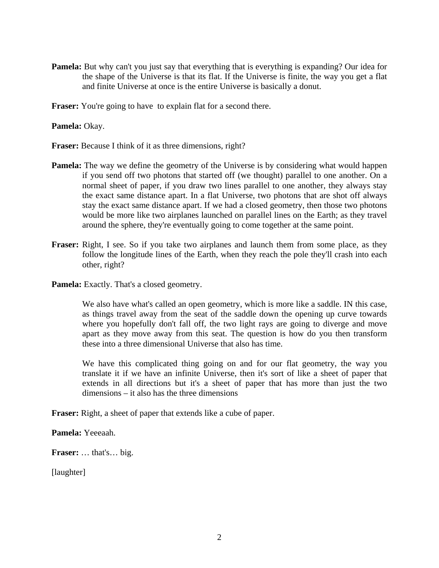**Pamela:** But why can't you just say that everything that is everything is expanding? Our idea for the shape of the Universe is that its flat. If the Universe is finite, the way you get a flat and finite Universe at once is the entire Universe is basically a donut.

**Fraser:** You're going to have to explain flat for a second there.

**Pamela:** Okay.

**Fraser:** Because I think of it as three dimensions, right?

- **Pamela:** The way we define the geometry of the Universe is by considering what would happen if you send off two photons that started off (we thought) parallel to one another. On a normal sheet of paper, if you draw two lines parallel to one another, they always stay the exact same distance apart. In a flat Universe, two photons that are shot off always stay the exact same distance apart. If we had a closed geometry, then those two photons would be more like two airplanes launched on parallel lines on the Earth; as they travel around the sphere, they're eventually going to come together at the same point.
- **Fraser:** Right, I see. So if you take two airplanes and launch them from some place, as they follow the longitude lines of the Earth, when they reach the pole they'll crash into each other, right?
- **Pamela:** Exactly. That's a closed geometry.

 We also have what's called an open geometry, which is more like a saddle. IN this case, as things travel away from the seat of the saddle down the opening up curve towards where you hopefully don't fall off, the two light rays are going to diverge and move apart as they move away from this seat. The question is how do you then transform these into a three dimensional Universe that also has time.

 We have this complicated thing going on and for our flat geometry, the way you translate it if we have an infinite Universe, then it's sort of like a sheet of paper that extends in all directions but it's a sheet of paper that has more than just the two dimensions – it also has the three dimensions

**Fraser:** Right, a sheet of paper that extends like a cube of paper.

**Pamela:** Yeeeaah.

**Fraser:** … that's… big.

[laughter]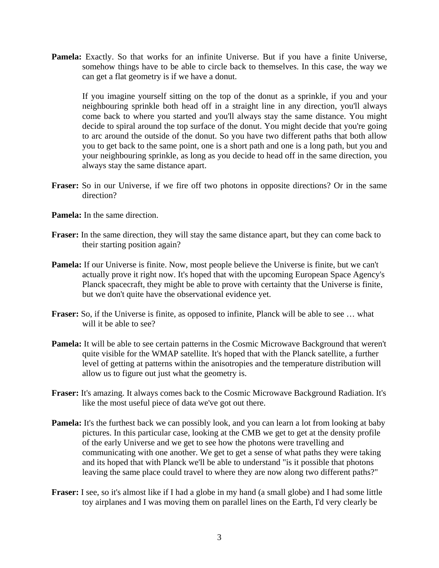**Pamela:** Exactly. So that works for an infinite Universe. But if you have a finite Universe, somehow things have to be able to circle back to themselves. In this case, the way we can get a flat geometry is if we have a donut.

 If you imagine yourself sitting on the top of the donut as a sprinkle, if you and your neighbouring sprinkle both head off in a straight line in any direction, you'll always come back to where you started and you'll always stay the same distance. You might decide to spiral around the top surface of the donut. You might decide that you're going to arc around the outside of the donut. So you have two different paths that both allow you to get back to the same point, one is a short path and one is a long path, but you and your neighbouring sprinkle, as long as you decide to head off in the same direction, you always stay the same distance apart.

**Fraser:** So in our Universe, if we fire off two photons in opposite directions? Or in the same direction?

**Pamela:** In the same direction.

- **Fraser:** In the same direction, they will stay the same distance apart, but they can come back to their starting position again?
- **Pamela:** If our Universe is finite. Now, most people believe the Universe is finite, but we can't actually prove it right now. It's hoped that with the upcoming European Space Agency's Planck spacecraft, they might be able to prove with certainty that the Universe is finite, but we don't quite have the observational evidence yet.
- **Fraser:** So, if the Universe is finite, as opposed to infinite, Planck will be able to see … what will it be able to see?
- **Pamela:** It will be able to see certain patterns in the Cosmic Microwave Background that weren't quite visible for the WMAP satellite. It's hoped that with the Planck satellite, a further level of getting at patterns within the anisotropies and the temperature distribution will allow us to figure out just what the geometry is.
- **Fraser:** It's amazing. It always comes back to the Cosmic Microwave Background Radiation. It's like the most useful piece of data we've got out there.
- **Pamela:** It's the furthest back we can possibly look, and you can learn a lot from looking at baby pictures. In this particular case, looking at the CMB we get to get at the density profile of the early Universe and we get to see how the photons were travelling and communicating with one another. We get to get a sense of what paths they were taking and its hoped that with Planck we'll be able to understand "is it possible that photons leaving the same place could travel to where they are now along two different paths?"
- **Fraser:** I see, so it's almost like if I had a globe in my hand (a small globe) and I had some little toy airplanes and I was moving them on parallel lines on the Earth, I'd very clearly be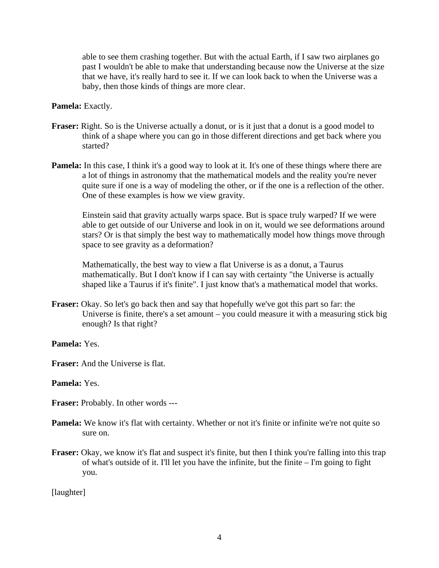able to see them crashing together. But with the actual Earth, if I saw two airplanes go past I wouldn't be able to make that understanding because now the Universe at the size that we have, it's really hard to see it. If we can look back to when the Universe was a baby, then those kinds of things are more clear.

**Pamela:** Exactly.

- **Fraser:** Right. So is the Universe actually a donut, or is it just that a donut is a good model to think of a shape where you can go in those different directions and get back where you started?
- **Pamela:** In this case, I think it's a good way to look at it. It's one of these things where there are a lot of things in astronomy that the mathematical models and the reality you're never quite sure if one is a way of modeling the other, or if the one is a reflection of the other. One of these examples is how we view gravity.

 Einstein said that gravity actually warps space. But is space truly warped? If we were able to get outside of our Universe and look in on it, would we see deformations around stars? Or is that simply the best way to mathematically model how things move through space to see gravity as a deformation?

 Mathematically, the best way to view a flat Universe is as a donut, a Taurus mathematically. But I don't know if I can say with certainty "the Universe is actually shaped like a Taurus if it's finite". I just know that's a mathematical model that works.

**Fraser:** Okay. So let's go back then and say that hopefully we've got this part so far: the Universe is finite, there's a set amount – you could measure it with a measuring stick big enough? Is that right?

**Pamela:** Yes.

**Fraser:** And the Universe is flat.

**Pamela:** Yes.

**Fraser:** Probably. In other words ---

- **Pamela:** We know it's flat with certainty. Whether or not it's finite or infinite we're not quite so sure on.
- **Fraser:** Okay, we know it's flat and suspect it's finite, but then I think you're falling into this trap of what's outside of it. I'll let you have the infinite, but the finite – I'm going to fight you.

[laughter]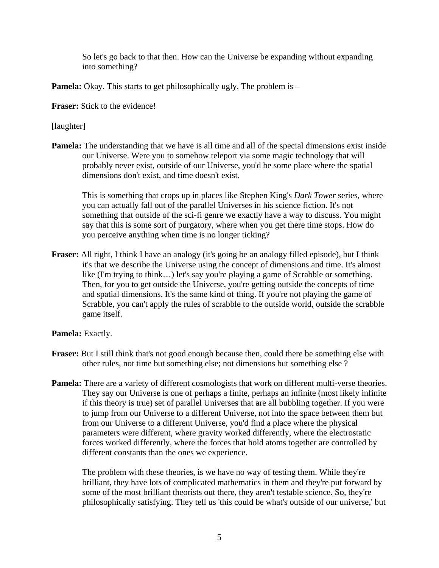So let's go back to that then. How can the Universe be expanding without expanding into something?

**Pamela:** Okay. This starts to get philosophically ugly. The problem is –

**Fraser:** Stick to the evidence!

## [laughter]

**Pamela:** The understanding that we have is all time and all of the special dimensions exist inside our Universe. Were you to somehow teleport via some magic technology that will probably never exist, outside of our Universe, you'd be some place where the spatial dimensions don't exist, and time doesn't exist.

 This is something that crops up in places like Stephen King's *Dark Tower* series, where you can actually fall out of the parallel Universes in his science fiction. It's not something that outside of the sci-fi genre we exactly have a way to discuss. You might say that this is some sort of purgatory, where when you get there time stops. How do you perceive anything when time is no longer ticking?

**Fraser:** All right, I think I have an analogy (it's going be an analogy filled episode), but I think it's that we describe the Universe using the concept of dimensions and time. It's almost like (I'm trying to think…) let's say you're playing a game of Scrabble or something. Then, for you to get outside the Universe, you're getting outside the concepts of time and spatial dimensions. It's the same kind of thing. If you're not playing the game of Scrabble, you can't apply the rules of scrabble to the outside world, outside the scrabble game itself.

## **Pamela:** Exactly.

- **Fraser:** But I still think that's not good enough because then, could there be something else with other rules, not time but something else; not dimensions but something else ?
- **Pamela:** There are a variety of different cosmologists that work on different multi-verse theories. They say our Universe is one of perhaps a finite, perhaps an infinite (most likely infinite if this theory is true) set of parallel Universes that are all bubbling together. If you were to jump from our Universe to a different Universe, not into the space between them but from our Universe to a different Universe, you'd find a place where the physical parameters were different, where gravity worked differently, where the electrostatic forces worked differently, where the forces that hold atoms together are controlled by different constants than the ones we experience.

 The problem with these theories, is we have no way of testing them. While they're brilliant, they have lots of complicated mathematics in them and they're put forward by some of the most brilliant theorists out there, they aren't testable science. So, they're philosophically satisfying. They tell us 'this could be what's outside of our universe,' but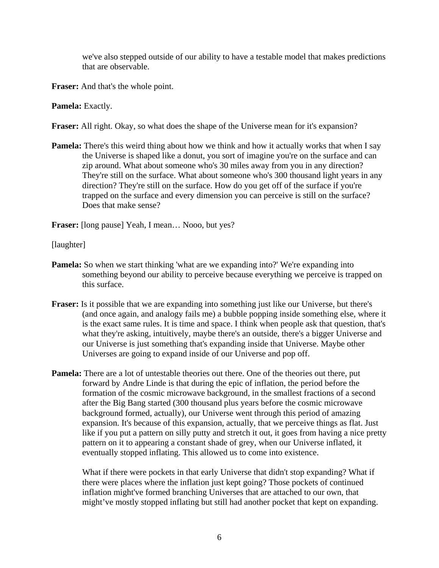we've also stepped outside of our ability to have a testable model that makes predictions that are observable.

**Fraser:** And that's the whole point.

**Pamela:** Exactly.

**Fraser:** All right. Okay, so what does the shape of the Universe mean for it's expansion?

**Pamela:** There's this weird thing about how we think and how it actually works that when I say the Universe is shaped like a donut, you sort of imagine you're on the surface and can zip around. What about someone who's 30 miles away from you in any direction? They're still on the surface. What about someone who's 300 thousand light years in any direction? They're still on the surface. How do you get off of the surface if you're trapped on the surface and every dimension you can perceive is still on the surface? Does that make sense?

**Fraser:** [long pause] Yeah, I mean... Nooo, but yes?

[laughter]

- **Pamela:** So when we start thinking 'what are we expanding into?' We're expanding into something beyond our ability to perceive because everything we perceive is trapped on this surface.
- **Fraser:** Is it possible that we are expanding into something just like our Universe, but there's (and once again, and analogy fails me) a bubble popping inside something else, where it is the exact same rules. It is time and space. I think when people ask that question, that's what they're asking, intuitively, maybe there's an outside, there's a bigger Universe and our Universe is just something that's expanding inside that Universe. Maybe other Universes are going to expand inside of our Universe and pop off.
- **Pamela:** There are a lot of untestable theories out there. One of the theories out there, put forward by Andre Linde is that during the epic of inflation, the period before the formation of the cosmic microwave background, in the smallest fractions of a second after the Big Bang started (300 thousand plus years before the cosmic microwave background formed, actually), our Universe went through this period of amazing expansion. It's because of this expansion, actually, that we perceive things as flat. Just like if you put a pattern on silly putty and stretch it out, it goes from having a nice pretty pattern on it to appearing a constant shade of grey, when our Universe inflated, it eventually stopped inflating. This allowed us to come into existence.

 What if there were pockets in that early Universe that didn't stop expanding? What if there were places where the inflation just kept going? Those pockets of continued inflation might've formed branching Universes that are attached to our own, that might've mostly stopped inflating but still had another pocket that kept on expanding.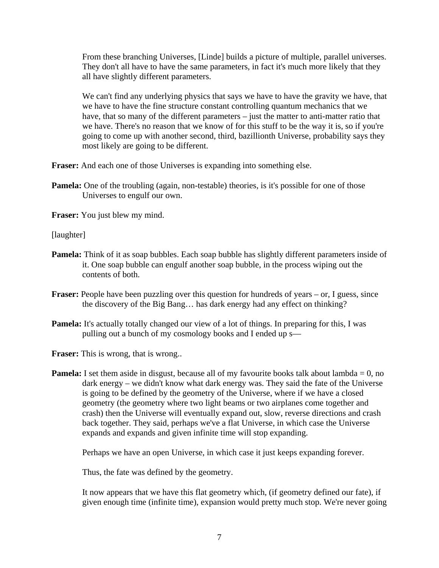From these branching Universes, [Linde] builds a picture of multiple, parallel universes. They don't all have to have the same parameters, in fact it's much more likely that they all have slightly different parameters.

 We can't find any underlying physics that says we have to have the gravity we have, that we have to have the fine structure constant controlling quantum mechanics that we have, that so many of the different parameters – just the matter to anti-matter ratio that we have. There's no reason that we know of for this stuff to be the way it is, so if you're going to come up with another second, third, bazillionth Universe, probability says they most likely are going to be different.

**Fraser:** And each one of those Universes is expanding into something else.

**Pamela:** One of the troubling (again, non-testable) theories, is it's possible for one of those Universes to engulf our own.

**Fraser:** You just blew my mind.

[laughter]

- **Pamela:** Think of it as soap bubbles. Each soap bubble has slightly different parameters inside of it. One soap bubble can engulf another soap bubble, in the process wiping out the contents of both.
- **Fraser:** People have been puzzling over this question for hundreds of years or, I guess, since the discovery of the Big Bang… has dark energy had any effect on thinking?
- **Pamela:** It's actually totally changed our view of a lot of things. In preparing for this, I was pulling out a bunch of my cosmology books and I ended up s—

**Fraser:** This is wrong, that is wrong..

**Pamela:** I set them aside in disgust, because all of my favourite books talk about lambda  $= 0$ , no dark energy – we didn't know what dark energy was. They said the fate of the Universe is going to be defined by the geometry of the Universe, where if we have a closed geometry (the geometry where two light beams or two airplanes come together and crash) then the Universe will eventually expand out, slow, reverse directions and crash back together. They said, perhaps we've a flat Universe, in which case the Universe expands and expands and given infinite time will stop expanding.

Perhaps we have an open Universe, in which case it just keeps expanding forever.

Thus, the fate was defined by the geometry.

 It now appears that we have this flat geometry which, (if geometry defined our fate), if given enough time (infinite time), expansion would pretty much stop. We're never going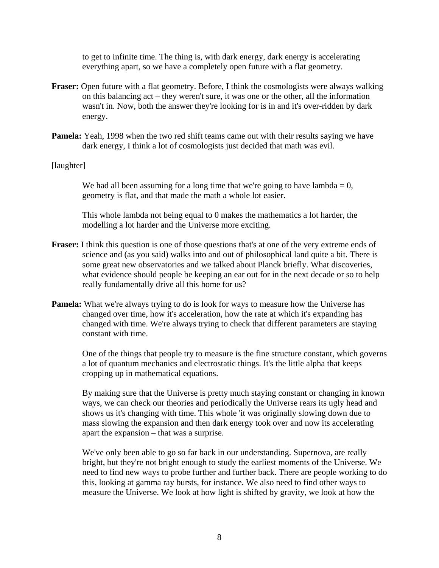to get to infinite time. The thing is, with dark energy, dark energy is accelerating everything apart, so we have a completely open future with a flat geometry.

- **Fraser:** Open future with a flat geometry. Before, I think the cosmologists were always walking on this balancing act – they weren't sure, it was one or the other, all the information wasn't in. Now, both the answer they're looking for is in and it's over-ridden by dark energy.
- **Pamela:** Yeah, 1998 when the two red shift teams came out with their results saying we have dark energy, I think a lot of cosmologists just decided that math was evil.

## [laughter]

We had all been assuming for a long time that we're going to have lambda  $= 0$ , geometry is flat, and that made the math a whole lot easier.

 This whole lambda not being equal to 0 makes the mathematics a lot harder, the modelling a lot harder and the Universe more exciting.

- **Fraser:** I think this question is one of those questions that's at one of the very extreme ends of science and (as you said) walks into and out of philosophical land quite a bit. There is some great new observatories and we talked about Planck briefly. What discoveries, what evidence should people be keeping an ear out for in the next decade or so to help really fundamentally drive all this home for us?
- **Pamela:** What we're always trying to do is look for ways to measure how the Universe has changed over time, how it's acceleration, how the rate at which it's expanding has changed with time. We're always trying to check that different parameters are staying constant with time.

 One of the things that people try to measure is the fine structure constant, which governs a lot of quantum mechanics and electrostatic things. It's the little alpha that keeps cropping up in mathematical equations.

 By making sure that the Universe is pretty much staying constant or changing in known ways, we can check our theories and periodically the Universe rears its ugly head and shows us it's changing with time. This whole 'it was originally slowing down due to mass slowing the expansion and then dark energy took over and now its accelerating apart the expansion – that was a surprise.

We've only been able to go so far back in our understanding. Supernova, are really bright, but they're not bright enough to study the earliest moments of the Universe. We need to find new ways to probe further and further back. There are people working to do this, looking at gamma ray bursts, for instance. We also need to find other ways to measure the Universe. We look at how light is shifted by gravity, we look at how the